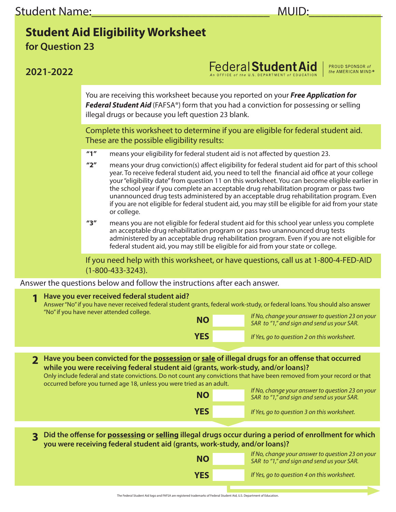## **Student Aid Eligibility Worksheet**

**for Question 23**

| 2021-2022                                                                                                                                                                                                    |                                                                                                                                                                                                                                                                                                                                                                                                                                                                                                                                                                                                                                                    | Federal Student Aid<br>PROUD SPONSOR of<br>the AMERICAN MIND®                                  |  |  |  |  |  |  |  |
|--------------------------------------------------------------------------------------------------------------------------------------------------------------------------------------------------------------|----------------------------------------------------------------------------------------------------------------------------------------------------------------------------------------------------------------------------------------------------------------------------------------------------------------------------------------------------------------------------------------------------------------------------------------------------------------------------------------------------------------------------------------------------------------------------------------------------------------------------------------------------|------------------------------------------------------------------------------------------------|--|--|--|--|--|--|--|
|                                                                                                                                                                                                              | You are receiving this worksheet because you reported on your <b>Free Application for</b><br>Federal Student Aid (FAFSA®) form that you had a conviction for possessing or selling<br>illegal drugs or because you left question 23 blank.                                                                                                                                                                                                                                                                                                                                                                                                         |                                                                                                |  |  |  |  |  |  |  |
|                                                                                                                                                                                                              | Complete this worksheet to determine if you are eligible for federal student aid.<br>These are the possible eligibility results:                                                                                                                                                                                                                                                                                                                                                                                                                                                                                                                   |                                                                                                |  |  |  |  |  |  |  |
|                                                                                                                                                                                                              | $^{\prime\prime}1^{\prime\prime}$<br>means your eligibility for federal student aid is not affected by question 23.                                                                                                                                                                                                                                                                                                                                                                                                                                                                                                                                |                                                                                                |  |  |  |  |  |  |  |
|                                                                                                                                                                                                              | $^{\prime\prime}2^{\prime\prime}$<br>means your drug conviction(s) affect eligibility for federal student aid for part of this school<br>year. To receive federal student aid, you need to tell the financial aid office at your college<br>your "eligibility date" from question 11 on this worksheet. You can become eligible earlier in<br>the school year if you complete an acceptable drug rehabilitation program or pass two<br>unannounced drug tests administered by an acceptable drug rehabilitation program. Even<br>if you are not eligible for federal student aid, you may still be eligible for aid from your state<br>or college. |                                                                                                |  |  |  |  |  |  |  |
|                                                                                                                                                                                                              | $^{\prime\prime}$ 3"<br>means you are not eligible for federal student aid for this school year unless you complete<br>an acceptable drug rehabilitation program or pass two unannounced drug tests<br>administered by an acceptable drug rehabilitation program. Even if you are not eligible for<br>federal student aid, you may still be eligible for aid from your state or college.                                                                                                                                                                                                                                                           |                                                                                                |  |  |  |  |  |  |  |
| If you need help with this worksheet, or have questions, call us at 1-800-4-FED-AID<br>$(1 - 800 - 433 - 3243).$                                                                                             |                                                                                                                                                                                                                                                                                                                                                                                                                                                                                                                                                                                                                                                    |                                                                                                |  |  |  |  |  |  |  |
|                                                                                                                                                                                                              | Answer the questions below and follow the instructions after each answer.                                                                                                                                                                                                                                                                                                                                                                                                                                                                                                                                                                          |                                                                                                |  |  |  |  |  |  |  |
| Have you ever received federal student aid?<br>1<br>Answer "No" if you have never received federal student grants, federal work-study, or federal loans. You should also answer                              |                                                                                                                                                                                                                                                                                                                                                                                                                                                                                                                                                                                                                                                    |                                                                                                |  |  |  |  |  |  |  |
|                                                                                                                                                                                                              | "No" if you have never attended college.<br><b>NO</b>                                                                                                                                                                                                                                                                                                                                                                                                                                                                                                                                                                                              | If No, change your answer to question 23 on your<br>SAR to "1," and sign and send us your SAR. |  |  |  |  |  |  |  |
|                                                                                                                                                                                                              | <b>YES</b>                                                                                                                                                                                                                                                                                                                                                                                                                                                                                                                                                                                                                                         | If Yes, go to question 2 on this worksheet.                                                    |  |  |  |  |  |  |  |
|                                                                                                                                                                                                              |                                                                                                                                                                                                                                                                                                                                                                                                                                                                                                                                                                                                                                                    |                                                                                                |  |  |  |  |  |  |  |
| $\mathbf 2$                                                                                                                                                                                                  | Have you been convicted for the possession or sale of illegal drugs for an offense that occurred                                                                                                                                                                                                                                                                                                                                                                                                                                                                                                                                                   |                                                                                                |  |  |  |  |  |  |  |
| while you were receiving federal student aid (grants, work-study, and/or loans)?<br>Only include federal and state convictions. Do not count any convictions that have been removed from your record or that |                                                                                                                                                                                                                                                                                                                                                                                                                                                                                                                                                                                                                                                    |                                                                                                |  |  |  |  |  |  |  |
|                                                                                                                                                                                                              | occurred before you turned age 18, unless you were tried as an adult.                                                                                                                                                                                                                                                                                                                                                                                                                                                                                                                                                                              | If No, change your answer to question 23 on your                                               |  |  |  |  |  |  |  |
|                                                                                                                                                                                                              | <b>NO</b>                                                                                                                                                                                                                                                                                                                                                                                                                                                                                                                                                                                                                                          | SAR to "1," and sign and send us your SAR.                                                     |  |  |  |  |  |  |  |
|                                                                                                                                                                                                              | <b>YES</b>                                                                                                                                                                                                                                                                                                                                                                                                                                                                                                                                                                                                                                         | If Yes, go to question 3 on this worksheet.                                                    |  |  |  |  |  |  |  |
| Did the offense for <b>possessing</b> or selling illegal drugs occur during a period of enrollment for which<br>3<br>you were receiving federal student aid (grants, work-study, and/or loans)?              |                                                                                                                                                                                                                                                                                                                                                                                                                                                                                                                                                                                                                                                    |                                                                                                |  |  |  |  |  |  |  |
|                                                                                                                                                                                                              | <b>NO</b>                                                                                                                                                                                                                                                                                                                                                                                                                                                                                                                                                                                                                                          | If No, change your answer to question 23 on your<br>SAR to "1," and sign and send us your SAR. |  |  |  |  |  |  |  |
|                                                                                                                                                                                                              | <b>YES</b>                                                                                                                                                                                                                                                                                                                                                                                                                                                                                                                                                                                                                                         | If Yes, go to question 4 on this worksheet.                                                    |  |  |  |  |  |  |  |